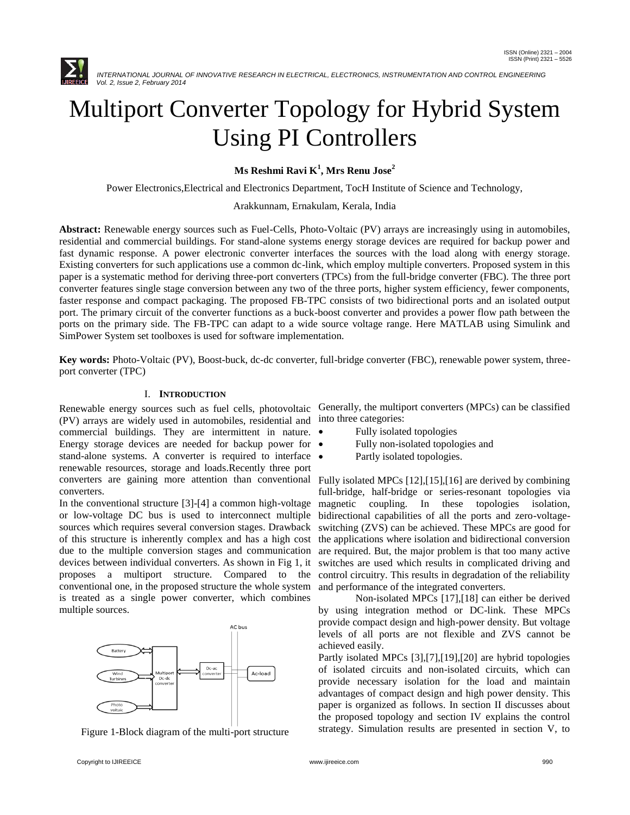

# Multiport Converter Topology for Hybrid System Using PI Controllers

# **Ms Reshmi Ravi K<sup>1</sup> , Mrs Renu Jose<sup>2</sup>**

Power Electronics,Electrical and Electronics Department, TocH Institute of Science and Technology,

### Arakkunnam, Ernakulam, Kerala, India

**Abstract:** Renewable energy sources such as Fuel-Cells, Photo-Voltaic (PV) arrays are increasingly using in automobiles, residential and commercial buildings. For stand-alone systems energy storage devices are required for backup power and fast dynamic response. A power electronic converter interfaces the sources with the load along with energy storage. Existing converters for such applications use a common dc-link, which employ multiple converters. Proposed system in this paper is a systematic method for deriving three-port converters (TPCs) from the full-bridge converter (FBC). The three port converter features single stage conversion between any two of the three ports, higher system efficiency, fewer components, faster response and compact packaging. The proposed FB-TPC consists of two bidirectional ports and an isolated output port. The primary circuit of the converter functions as a buck-boost converter and provides a power flow path between the ports on the primary side. The FB-TPC can adapt to a wide source voltage range. Here MATLAB using Simulink and SimPower System set toolboxes is used for software implementation.

**Key words:** Photo-Voltaic (PV), Boost-buck, dc-dc converter, full-bridge converter (FBC), renewable power system, threeport converter (TPC)

# I. **INTRODUCTION**

(PV) arrays are widely used in automobiles, residential and commercial buildings. They are intermittent in nature. Energy storage devices are needed for backup power for  $\bullet$ stand-alone systems. A converter is required to interface  $\bullet$ renewable resources, storage and loads.Recently three port converters are gaining more attention than conventional converters.

In the conventional structure [3]-[4] a common high-voltage or low-voltage DC bus is used to interconnect multiple sources which requires several conversion stages. Drawback of this structure is inherently complex and has a high cost due to the multiple conversion stages and communication devices between individual converters. As shown in Fig 1, it proposes a multiport structure. Compared to the conventional one, in the proposed structure the whole system is treated as a single power converter, which combines multiple sources.



Figure 1-Block diagram of the multi-port structure

Renewable energy sources such as fuel cells, photovoltaic Generally, the multiport converters (MPCs) can be classified into three categories:

- Fully isolated topologies
- Fully non-isolated topologies and
	- Partly isolated topologies.

Fully isolated MPCs [12],[15],[16] are derived by combining full-bridge, half-bridge or series-resonant topologies via magnetic coupling. In these topologies isolation, bidirectional capabilities of all the ports and zero-voltageswitching (ZVS) can be achieved. These MPCs are good for the applications where isolation and bidirectional conversion are required. But, the major problem is that too many active switches are used which results in complicated driving and control circuitry. This results in degradation of the reliability and performance of the integrated converters.

Non-isolated MPCs [17],[18] can either be derived by using integration method or DC-link. These MPCs provide compact design and high-power density. But voltage levels of all ports are not flexible and ZVS cannot be achieved easily.

Partly isolated MPCs [3],[7],[19],[20] are hybrid topologies of isolated circuits and non-isolated circuits, which can provide necessary isolation for the load and maintain advantages of compact design and high power density. This paper is organized as follows. In section II discusses about the proposed topology and section IV explains the control strategy. Simulation results are presented in section V, to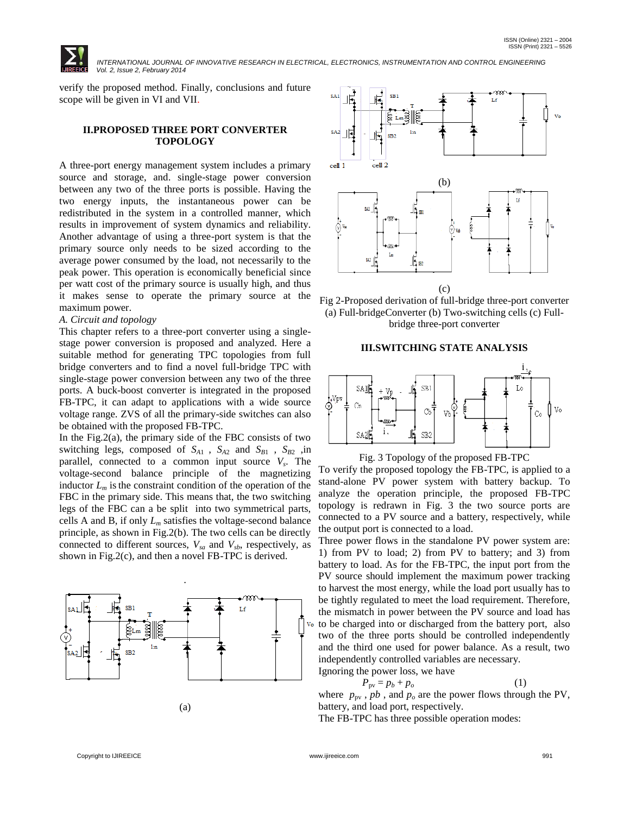

verify the proposed method. Finally, conclusions and future scope will be given in VI and VII.

### **II.PROPOSED THREE PORT CONVERTER TOPOLOGY**

A three-port energy management system includes a primary source and storage, and. single-stage power conversion between any two of the three ports is possible. Having the two energy inputs, the instantaneous power can be redistributed in the system in a controlled manner, which results in improvement of system dynamics and reliability. Another advantage of using a three-port system is that the primary source only needs to be sized according to the average power consumed by the load, not necessarily to the peak power. This operation is economically beneficial since per watt cost of the primary source is usually high, and thus it makes sense to operate the primary source at the maximum power.

#### *A. Circuit and topology*

This chapter refers to a three-port converter using a singlestage power conversion is proposed and analyzed. Here a suitable method for generating TPC topologies from full bridge converters and to find a novel full-bridge TPC with single-stage power conversion between any two of the three ports. A buck-boost converter is integrated in the proposed FB-TPC, it can adapt to applications with a wide source voltage range. ZVS of all the primary-side switches can also be obtained with the proposed FB-TPC.

In the Fig.2(a), the primary side of the FBC consists of two switching legs, composed of  $S_{A1}$ ,  $S_{A2}$  and  $S_{B1}$ ,  $S_{B2}$ , in parallel, connected to a common input source *V<sup>s</sup>* . The voltage-second balance principle of the magnetizing inductor  $L_m$  is the constraint condition of the operation of the FBC in the primary side. This means that, the two switching legs of the FBC can a be split into two symmetrical parts, cells A and B, if only  $L_m$  satisfies the voltage-second balance principle, as shown in Fig.2(b). The two cells can be directly connected to different sources,  $V_{sa}$  and  $V_{sb}$ , respectively, as shown in Fig.2(c), and then a novel FB-TPC is derived.







# **III.SWITCHING STATE ANALYSIS**



Fig. 3 Topology of the proposed FB-TPC

To verify the proposed topology the FB-TPC, is applied to a stand-alone PV power system with battery backup. To analyze the operation principle, the proposed FB-TPC topology is redrawn in Fig. 3 the two source ports are connected to a PV source and a battery, respectively, while the output port is connected to a load.

Three power flows in the standalone PV power system are: 1) from PV to load; 2) from PV to battery; and 3) from battery to load. As for the FB-TPC, the input port from the PV source should implement the maximum power tracking to harvest the most energy, while the load port usually has to be tightly regulated to meet the load requirement. Therefore, the mismatch in power between the PV source and load has to be charged into or discharged from the battery port, also two of the three ports should be controlled independently and the third one used for power balance. As a result, two independently controlled variables are necessary. Ignoring the power loss, we have

$$
P_{\text{pv}} = p_b + p_o \tag{1}
$$

where  $p_{\text{pv}}$ ,  $pb$ , and  $p_o$  are the power flows through the PV, battery, and load port, respectively.

The FB-TPC has three possible operation modes: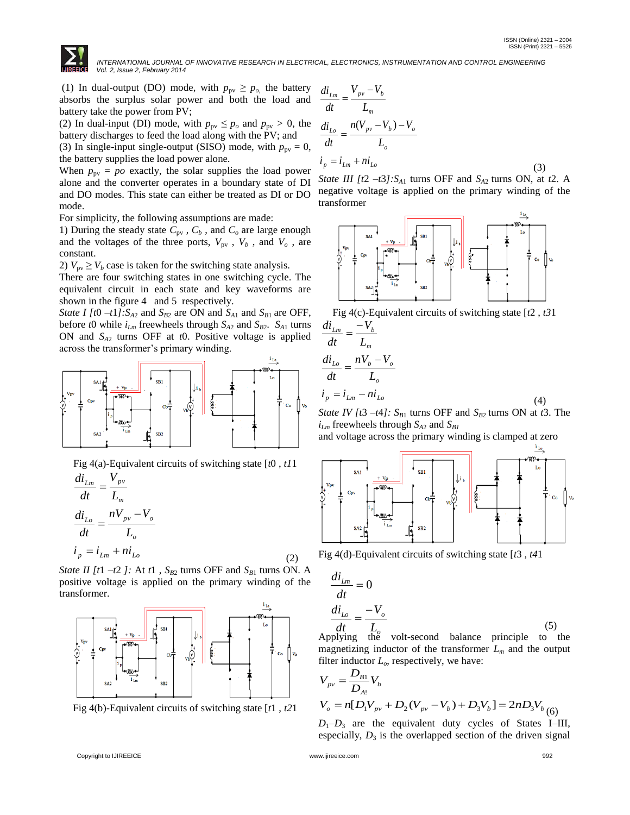

(1) In dual-output (DO) mode, with  $p_{\text{pv}} \geq p_o$ , the battery absorbs the surplus solar power and both the load and battery take the power from PV;

(2) In dual-input (DI) mode, with  $p_{pv} \leq p_o$  and  $p_{pv} > 0$ , the battery discharges to feed the load along with the PV; and (3) In single-input single-output (SISO) mode, with  $p_{pv} = 0$ , the battery supplies the load power alone.

When  $p_{pv} = po$  exactly, the solar supplies the load power alone and the converter operates in a boundary state of DI and DO modes. This state can either be treated as DI or DO mode.

For simplicity, the following assumptions are made:

1) During the steady state  $C_{pv}$ ,  $C_b$ , and  $C_o$  are large enough and the voltages of the three ports,  $V_{\text{pv}}$ ,  $V_b$ , and  $V_o$ , are constant.

2)  $V_{\text{pv}} \geq V_b$  case is taken for the switching state analysis.

There are four switching states in one switching cycle. The equivalent circuit in each state and key waveforms are shown in the figure 4 and 5 respectively.

*State I [t*0  $-t1$ *]:S<sub>A2</sub>* and *S<sub>B2</sub>* are ON and *S<sub>A1</sub>* and *S<sub>B1</sub>* are OFF, before *t*0 while  $i_{Lm}$  freewheels through  $S_{A2}$  and  $S_{B2}$ .  $S_{A1}$  turns ON and *SA*<sup>2</sup> turns OFF at *t*0. Positive voltage is applied across the transformer's primary winding.



Fig 4(a)-Equivalent circuits of switching state [*t*0 , *t1*1

$$
\frac{di_{Lm}}{dt} = \frac{V_{pv}}{L_m}
$$
\n
$$
\frac{di_{Lo}}{dt} = \frac{nV_{pv} - V_o}{L_o}
$$
\n
$$
i_p = i_{Lm} + ni_{Lo}
$$
\n(2)

*State II [t*1  $-t2$  *]:* At *t*1,  $S_{B2}$  turns OFF and  $S_{B1}$  turns ON. A positive voltage is applied on the primary winding of the transformer.



Fig 4(b)-Equivalent circuits of switching state [*t*1 , *t2*1

$$
\frac{di_{Lm}}{dt} = \frac{V_{pv} - V_b}{L_m}
$$
\n
$$
\frac{di_{Lo}}{dt} = \frac{n(V_{pv} - V_b) - V_o}{L_o}
$$
\n
$$
i_p = i_{Lm} + ni_{Lo}
$$
\n(3)

*State III [t*2  $-t3$ *]:S<sub>A1</sub>* turns OFF and *S<sub>A2</sub>* turns ON, at *t*2. A negative voltage is applied on the primary winding of the transformer





$$
\frac{di_{Lm}}{dt} = \frac{-V_b}{L_m}
$$
\n
$$
\frac{di_{Lo}}{dt} = \frac{nV_b - V_o}{L_o}
$$
\n
$$
i_p = i_{Lm} - ni_{Lo}
$$
\n
$$
i_{Lm} = \frac{V_a}{V_a} + \frac{1}{2} \sum_{i=1}^{n} \frac{1}{V_a} \frac{V_a}{V_a} + \frac{1}{2} \sum_{i=1}^{n} \frac{V_a}{V_a} + \frac{1}{2} \sum_{i=1}^{n} \frac{V_a}{V_a} + \frac{1}{2} \sum_{i=1}^{n} \frac{V_a}{V_a} + \frac{1}{2} \sum_{i=1}^{n} \frac{V_a}{V_a} + \frac{1}{2} \sum_{i=1}^{n} \frac{V_a}{V_a} + \frac{1}{2} \sum_{i=1}^{n} \frac{V_a}{V_a} + \frac{1}{2} \sum_{i=1}^{n} \frac{V_a}{V_a} + \frac{1}{2} \sum_{i=1}^{n} \frac{V_a}{V_a} + \frac{1}{2} \sum_{i=1}^{n} \frac{V_a}{V_a} + \frac{1}{2} \sum_{i=1}^{n} \frac{V_a}{V_a} + \frac{1}{2} \sum_{i=1}^{n} \frac{V_a}{V_a} + \frac{1}{2} \sum_{i=1}^{n} \frac{V_a}{V_a} + \frac{1}{2} \sum_{i=1}^{n} \frac{V_a}{V_a} + \frac{1}{2} \sum_{i=1}^{n} \frac{V_a}{V_a} + \frac{1}{2} \sum_{i=1}^{n} \frac{V_a}{V_a} + \frac{1}{2} \sum_{i=1}^{n} \frac{V_a}{V_a} + \frac{1}{2} \sum_{i=1}^{n} \frac{V_a}{V_a} + \frac{1}{2} \sum_{i=1}^{n} \frac{V_a}{V_a} + \frac{1}{2} \sum_{i=1}^{n} \frac{V_a}{V_a} + \frac{1}{2} \sum_{i=1}^{n} \frac{V_a}{V_a} + \frac{1}{2} \sum_{i=1}^{n} \frac{V_a}{V_a} + \frac{1}{2} \sum_{i=1}^{n} \frac{V_a}{V_a} + \frac{1}{2} \sum_{i=1}^{n} \frac{V_a}{V_a} + \frac{1}{
$$

*State IV [t*3  $-t4$ ]:  $S_{B1}$  turns OFF and  $S_{B2}$  turns ON at *t*3. The  $i_{Lm}$  freewheels through  $S_{A2}$  and  $S_{B1}$ 

and voltage across the primary winding is clamped at zero



Fig 4(d)-Equivalent circuits of switching state [*t*3 , *t4*1

$$
\frac{di_{Lm}}{dt} = 0
$$
\n
$$
\frac{di_{Lo}}{dt} = \frac{-V_o}{L_o}
$$
\n(5)

Applying the volt-second balance principle to the magnetizing inductor of the transformer *L<sup>m</sup>* and the output filter inductor *Lo*, respectively, we have:

$$
V_{pv} = \frac{D_{B1}}{D_{A1}} V_b
$$
  
\n
$$
V_o = n[D_1 V_{pv} + D_2 (V_{pv} - V_b) + D_3 V_b] = 2n D_3 V_b
$$
 (6)

 $D_1$ – $D_3$  are the equivalent duty cycles of States I–III, especially,  $D_3$  is the overlapped section of the driven signal

*V*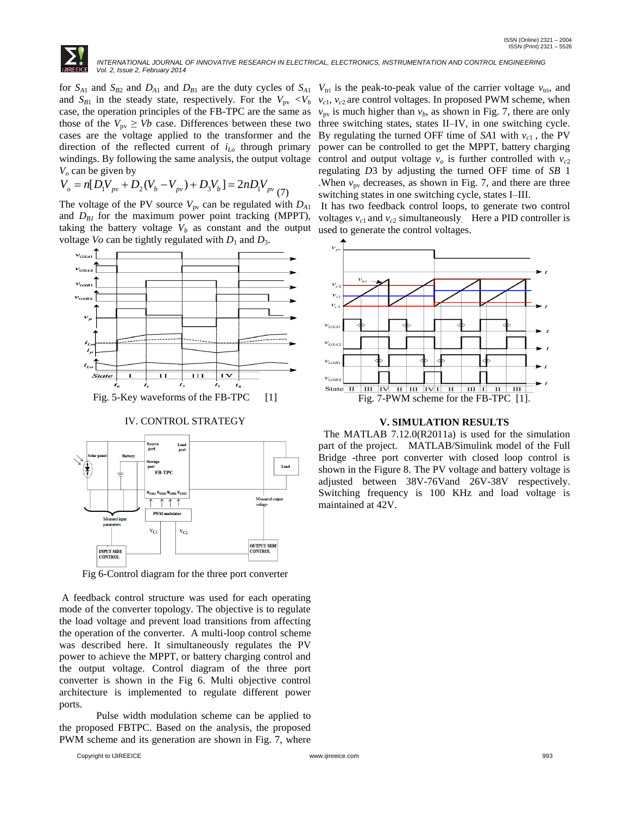

windings. By following the same analysis, the output voltage control and output voltage  $v<sub>o</sub>$  is further controlled with  $v<sub>c2</sub>$ *V<sup>o</sup>* can be given by

$$
V_o = n[D_1 V_{pv} + D_2 (V_b - V_{pv}) + D_3 V_b] = 2nD_1 V_{pv} (7)
$$

The voltage of the PV source  $V_{\text{pv}}$  can be regulated with  $D_{A1}$ and  $D_{BI}$  for the maximum power point tracking (MPPT), taking the battery voltage  $V_b$  as constant and the output voltage *Vo* can be tightly regulated with  $D_1$  and  $D_3$ .



IV. CONTROL STRATEGY



Fig 6-Control diagram for the three port converter

A feedback control structure was used for each operating mode of the converter topology. The objective is to regulate the load voltage and prevent load transitions from affecting the operation of the converter. A multi-loop control scheme was described here. It simultaneously regulates the PV power to achieve the MPPT, or battery charging control and the output voltage. Control diagram of the three port converter is shown in the Fig 6. Multi objective control architecture is implemented to regulate different power ports.

Pulse width modulation scheme can be applied to the proposed FBTPC. Based on the analysis, the proposed PWM scheme and its generation are shown in Fig. 7, where

for  $S_{A1}$  and  $S_{B2}$  and  $D_{A1}$  and  $D_{B1}$  are the duty cycles of  $S_{A1}$   $V_{tri}$  is the peak-to-peak value of the carrier voltage  $v_{tri}$ , and and  $S_{B1}$  in the steady state, respectively. For the  $V_{pv} < V_b$   $v_{c1}$ ,  $v_{c2}$  are control voltages. In proposed PWM scheme, when case, the operation principles of the FB-TPC are the same as  $v_{pv}$  is much higher than  $v_b$ , as shown in Fig. 7, there are only those of the  $V_{\text{pv}} \geq Vb$  case. Differences between these two three switching states, states II–IV, in one switching cycle. cases are the voltage applied to the transformer and the By regulating the turned OFF time of  $SA1$  with  $v_{c1}$ , the PV direction of the reflected current of *iLo* through primary power can be controlled to get the MPPT, battery charging regulating *D*3 by adjusting the turned OFF time of *SB* 1 .When  $v_{\text{pv}}$  decreases, as shown in Fig. 7, and there are three switching states in one switching cycle, states I–III.

It has two feedback control loops, to generate two control voltages  $v_{c1}$  and  $v_{c2}$  simultaneously. Here a PID controller is used to generate the control voltages.



#### **V. SIMULATION RESULTS**

The MATLAB 7.12.0(R2011a) is used for the simulation part of the project. MATLAB/Simulink model of the Full Bridge -three port converter with closed loop control is shown in the Figure 8. The PV voltage and battery voltage is adjusted between 38V-76Vand 26V-38V respectively. Switching frequency is 100 KHz and load voltage is maintained at 42V.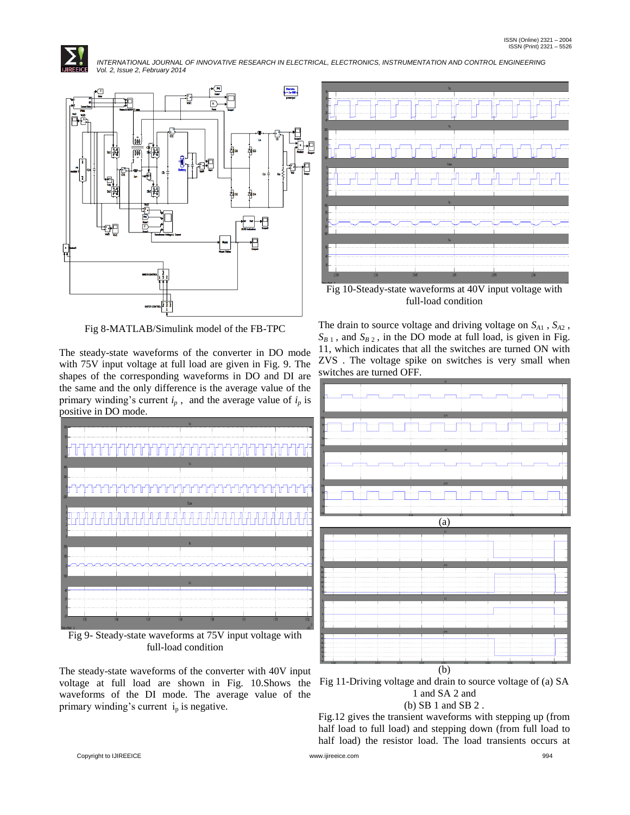



Fig 8-MATLAB/Simulink model of the FB-TPC

The steady-state waveforms of the converter in DO mode with 75V input voltage at full load are given in Fig. 9. The shapes of the corresponding waveforms in DO and DI are the same and the only difference is the average value of the primary winding's current  $i_p$ , and the average value of  $i_p$  is positive in DO mode.



full-load condition

The steady-state waveforms of the converter with 40V input voltage at full load are shown in Fig. 10.Shows the waveforms of the DI mode. The average value of the primary winding's current  $i_p$  is negative.



Fig 10-Steady-state waveforms at 40V input voltage with full-load condition

The drain to source voltage and driving voltage on *SA*<sup>1</sup> , *SA*<sup>2</sup> ,  $S_{B_1}$ , and  $S_{B_2}$ , in the DO mode at full load, is given in Fig. 11, which indicates that all the switches are turned ON with ZVS . The voltage spike on switches is very small when switches are turned OFF.



1 and SA 2 and

# (b) SB 1 and SB 2 .

Fig.12 gives the transient waveforms with stepping up (from half load to full load) and stepping down (from full load to half load) the resistor load. The load transients occurs at